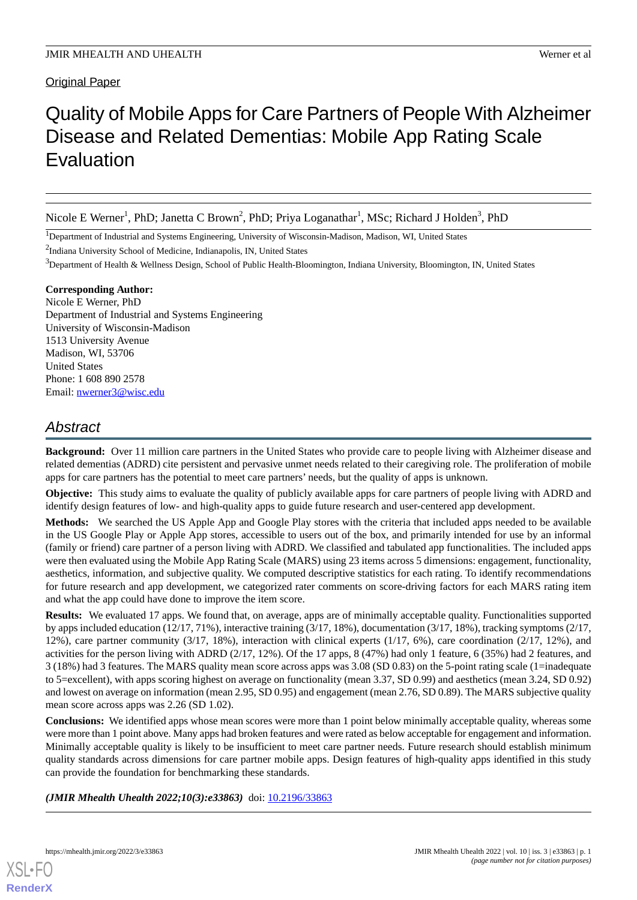# **Original Paper**

# Quality of Mobile Apps for Care Partners of People With Alzheimer Disease and Related Dementias: Mobile App Rating Scale Evaluation

Nicole E Werner<sup>1</sup>, PhD; Janetta C Brown<sup>2</sup>, PhD; Priya Loganathar<sup>1</sup>, MSc; Richard J Holden<sup>3</sup>, PhD

<sup>1</sup>Department of Industrial and Systems Engineering, University of Wisconsin-Madison, Madison, WI, United States

<sup>2</sup>Indiana University School of Medicine, Indianapolis, IN, United States

<sup>3</sup>Department of Health & Wellness Design, School of Public Health-Bloomington, Indiana University, Bloomington, IN, United States

# **Corresponding Author:**

Nicole E Werner, PhD Department of Industrial and Systems Engineering University of Wisconsin-Madison 1513 University Avenue Madison, WI, 53706 United States Phone: 1 608 890 2578 Email: [nwerner3@wisc.edu](mailto:nwerner3@wisc.edu)

# *Abstract*

**Background:** Over 11 million care partners in the United States who provide care to people living with Alzheimer disease and related dementias (ADRD) cite persistent and pervasive unmet needs related to their caregiving role. The proliferation of mobile apps for care partners has the potential to meet care partners' needs, but the quality of apps is unknown.

**Objective:** This study aims to evaluate the quality of publicly available apps for care partners of people living with ADRD and identify design features of low- and high-quality apps to guide future research and user-centered app development.

**Methods:** We searched the US Apple App and Google Play stores with the criteria that included apps needed to be available in the US Google Play or Apple App stores, accessible to users out of the box, and primarily intended for use by an informal (family or friend) care partner of a person living with ADRD. We classified and tabulated app functionalities. The included apps were then evaluated using the Mobile App Rating Scale (MARS) using 23 items across 5 dimensions: engagement, functionality, aesthetics, information, and subjective quality. We computed descriptive statistics for each rating. To identify recommendations for future research and app development, we categorized rater comments on score-driving factors for each MARS rating item and what the app could have done to improve the item score.

**Results:** We evaluated 17 apps. We found that, on average, apps are of minimally acceptable quality. Functionalities supported by apps included education (12/17, 71%), interactive training (3/17, 18%), documentation (3/17, 18%), tracking symptoms (2/17, 12%), care partner community (3/17, 18%), interaction with clinical experts (1/17, 6%), care coordination (2/17, 12%), and activities for the person living with ADRD (2/17, 12%). Of the 17 apps, 8 (47%) had only 1 feature, 6 (35%) had 2 features, and 3 (18%) had 3 features. The MARS quality mean score across apps was 3.08 (SD 0.83) on the 5-point rating scale (1=inadequate to 5=excellent), with apps scoring highest on average on functionality (mean 3.37, SD 0.99) and aesthetics (mean 3.24, SD 0.92) and lowest on average on information (mean 2.95, SD 0.95) and engagement (mean 2.76, SD 0.89). The MARS subjective quality mean score across apps was 2.26 (SD 1.02).

**Conclusions:** We identified apps whose mean scores were more than 1 point below minimally acceptable quality, whereas some were more than 1 point above. Many apps had broken features and were rated as below acceptable for engagement and information. Minimally acceptable quality is likely to be insufficient to meet care partner needs. Future research should establish minimum quality standards across dimensions for care partner mobile apps. Design features of high-quality apps identified in this study can provide the foundation for benchmarking these standards.

(JMIR Mhealth Uhealth 2022;10(3):e33863) doi: [10.2196/33863](http://dx.doi.org/10.2196/33863)

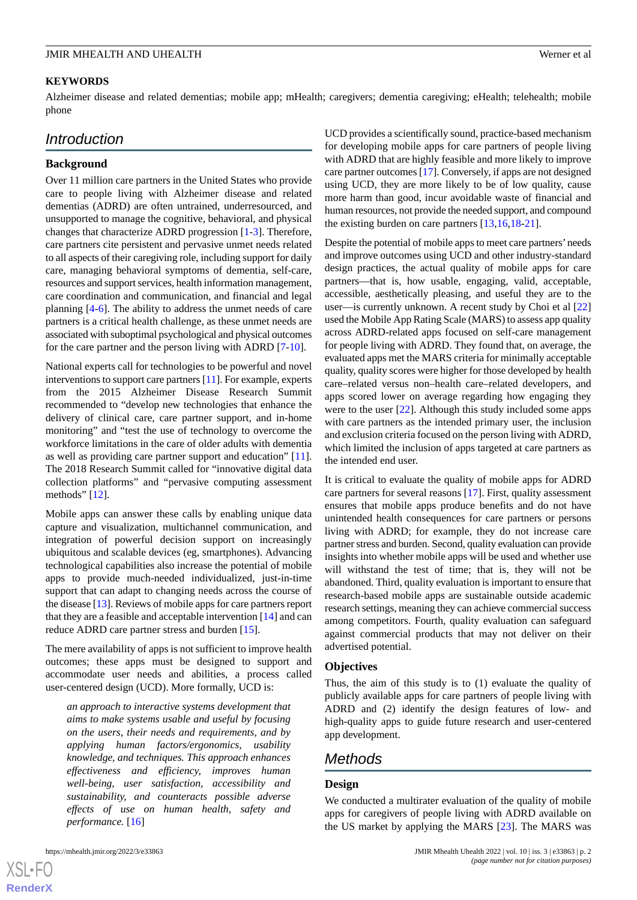#### **KEYWORDS**

Alzheimer disease and related dementias; mobile app; mHealth; caregivers; dementia caregiving; eHealth; telehealth; mobile phone

# *Introduction*

#### **Background**

Over 11 million care partners in the United States who provide care to people living with Alzheimer disease and related dementias (ADRD) are often untrained, underresourced, and unsupported to manage the cognitive, behavioral, and physical changes that characterize ADRD progression [\[1](#page-10-0)[-3\]](#page-10-1). Therefore, care partners cite persistent and pervasive unmet needs related to all aspects of their caregiving role, including support for daily care, managing behavioral symptoms of dementia, self-care, resources and support services, health information management, care coordination and communication, and financial and legal planning [[4-](#page-10-2)[6\]](#page-10-3). The ability to address the unmet needs of care partners is a critical health challenge, as these unmet needs are associated with suboptimal psychological and physical outcomes for the care partner and the person living with ADRD [\[7](#page-10-4)[-10](#page-10-5)].

National experts call for technologies to be powerful and novel interventions to support care partners [\[11](#page-10-6)]. For example, experts from the 2015 Alzheimer Disease Research Summit recommended to "develop new technologies that enhance the delivery of clinical care, care partner support, and in-home monitoring" and "test the use of technology to overcome the workforce limitations in the care of older adults with dementia as well as providing care partner support and education" [[11\]](#page-10-6). The 2018 Research Summit called for "innovative digital data collection platforms" and "pervasive computing assessment methods" [[12\]](#page-10-7).

Mobile apps can answer these calls by enabling unique data capture and visualization, multichannel communication, and integration of powerful decision support on increasingly ubiquitous and scalable devices (eg, smartphones). Advancing technological capabilities also increase the potential of mobile apps to provide much-needed individualized, just-in-time support that can adapt to changing needs across the course of the disease [\[13](#page-10-8)]. Reviews of mobile apps for care partners report that they are a feasible and acceptable intervention [\[14](#page-10-9)] and can reduce ADRD care partner stress and burden [[15\]](#page-10-10).

The mere availability of apps is not sufficient to improve health outcomes; these apps must be designed to support and accommodate user needs and abilities, a process called user-centered design (UCD). More formally, UCD is:

*an approach to interactive systems development that aims to make systems usable and useful by focusing on the users, their needs and requirements, and by applying human factors/ergonomics, usability knowledge, and techniques. This approach enhances effectiveness and efficiency, improves human well-being, user satisfaction, accessibility and sustainability, and counteracts possible adverse effects of use on human health, safety and performance.* [[16\]](#page-10-11)

UCD provides a scientifically sound, practice-based mechanism for developing mobile apps for care partners of people living with ADRD that are highly feasible and more likely to improve care partner outcomes [\[17](#page-10-12)]. Conversely, if apps are not designed using UCD, they are more likely to be of low quality, cause more harm than good, incur avoidable waste of financial and human resources, not provide the needed support, and compound the existing burden on care partners [\[13](#page-10-8),[16,](#page-10-11)[18](#page-11-0)[-21](#page-11-1)].

Despite the potential of mobile apps to meet care partners'needs and improve outcomes using UCD and other industry-standard design practices, the actual quality of mobile apps for care partners—that is, how usable, engaging, valid, acceptable, accessible, aesthetically pleasing, and useful they are to the user—is currently unknown. A recent study by Choi et al [\[22](#page-11-2)] used the Mobile App Rating Scale (MARS) to assess app quality across ADRD-related apps focused on self-care management for people living with ADRD. They found that, on average, the evaluated apps met the MARS criteria for minimally acceptable quality, quality scores were higher for those developed by health care–related versus non–health care–related developers, and apps scored lower on average regarding how engaging they were to the user [[22\]](#page-11-2). Although this study included some apps with care partners as the intended primary user, the inclusion and exclusion criteria focused on the person living with ADRD, which limited the inclusion of apps targeted at care partners as the intended end user.

It is critical to evaluate the quality of mobile apps for ADRD care partners for several reasons [[17\]](#page-10-12). First, quality assessment ensures that mobile apps produce benefits and do not have unintended health consequences for care partners or persons living with ADRD; for example, they do not increase care partner stress and burden. Second, quality evaluation can provide insights into whether mobile apps will be used and whether use will withstand the test of time; that is, they will not be abandoned. Third, quality evaluation is important to ensure that research-based mobile apps are sustainable outside academic research settings, meaning they can achieve commercial success among competitors. Fourth, quality evaluation can safeguard against commercial products that may not deliver on their advertised potential.

#### **Objectives**

Thus, the aim of this study is to (1) evaluate the quality of publicly available apps for care partners of people living with ADRD and (2) identify the design features of low- and high-quality apps to guide future research and user-centered app development.

# *Methods*

#### **Design**

We conducted a multirater evaluation of the quality of mobile apps for caregivers of people living with ADRD available on the US market by applying the MARS [[23\]](#page-11-3). The MARS was

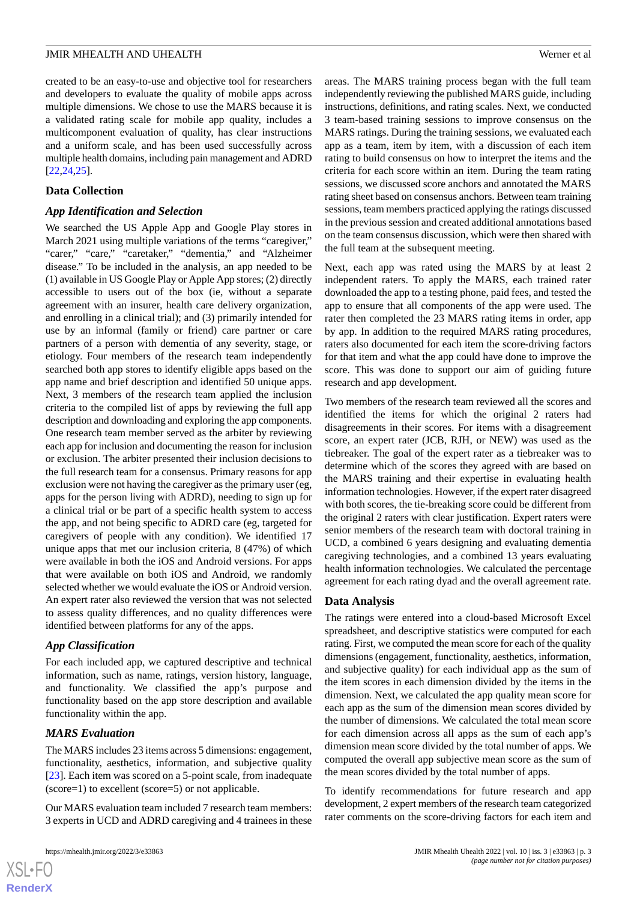created to be an easy-to-use and objective tool for researchers and developers to evaluate the quality of mobile apps across multiple dimensions. We chose to use the MARS because it is a validated rating scale for mobile app quality, includes a multicomponent evaluation of quality, has clear instructions and a uniform scale, and has been used successfully across multiple health domains, including pain management and ADRD [[22](#page-11-2)[,24](#page-11-4),[25\]](#page-11-5).

#### **Data Collection**

#### *App Identification and Selection*

We searched the US Apple App and Google Play stores in March 2021 using multiple variations of the terms "caregiver," "carer," "care," "caretaker," "dementia," and "Alzheimer disease." To be included in the analysis, an app needed to be (1) available in US Google Play or Apple App stores; (2) directly accessible to users out of the box (ie, without a separate agreement with an insurer, health care delivery organization, and enrolling in a clinical trial); and (3) primarily intended for use by an informal (family or friend) care partner or care partners of a person with dementia of any severity, stage, or etiology. Four members of the research team independently searched both app stores to identify eligible apps based on the app name and brief description and identified 50 unique apps. Next, 3 members of the research team applied the inclusion criteria to the compiled list of apps by reviewing the full app description and downloading and exploring the app components. One research team member served as the arbiter by reviewing each app for inclusion and documenting the reason for inclusion or exclusion. The arbiter presented their inclusion decisions to the full research team for a consensus. Primary reasons for app exclusion were not having the caregiver as the primary user (eg, apps for the person living with ADRD), needing to sign up for a clinical trial or be part of a specific health system to access the app, and not being specific to ADRD care (eg, targeted for caregivers of people with any condition). We identified 17 unique apps that met our inclusion criteria, 8 (47%) of which were available in both the iOS and Android versions. For apps that were available on both iOS and Android, we randomly selected whether we would evaluate the iOS or Android version. An expert rater also reviewed the version that was not selected to assess quality differences, and no quality differences were identified between platforms for any of the apps.

# *App Classification*

For each included app, we captured descriptive and technical information, such as name, ratings, version history, language, and functionality. We classified the app's purpose and functionality based on the app store description and available functionality within the app.

#### *MARS Evaluation*

The MARS includes 23 items across 5 dimensions: engagement, functionality, aesthetics, information, and subjective quality [[23\]](#page-11-3). Each item was scored on a 5-point scale, from inadequate (score=1) to excellent (score=5) or not applicable.

Our MARS evaluation team included 7 research team members: 3 experts in UCD and ADRD caregiving and 4 trainees in these

areas. The MARS training process began with the full team independently reviewing the published MARS guide, including instructions, definitions, and rating scales. Next, we conducted 3 team-based training sessions to improve consensus on the MARS ratings. During the training sessions, we evaluated each app as a team, item by item, with a discussion of each item rating to build consensus on how to interpret the items and the criteria for each score within an item. During the team rating sessions, we discussed score anchors and annotated the MARS rating sheet based on consensus anchors. Between team training sessions, team members practiced applying the ratings discussed in the previous session and created additional annotations based on the team consensus discussion, which were then shared with the full team at the subsequent meeting.

Next, each app was rated using the MARS by at least 2 independent raters. To apply the MARS, each trained rater downloaded the app to a testing phone, paid fees, and tested the app to ensure that all components of the app were used. The rater then completed the 23 MARS rating items in order, app by app. In addition to the required MARS rating procedures, raters also documented for each item the score-driving factors for that item and what the app could have done to improve the score. This was done to support our aim of guiding future research and app development.

Two members of the research team reviewed all the scores and identified the items for which the original 2 raters had disagreements in their scores. For items with a disagreement score, an expert rater (JCB, RJH, or NEW) was used as the tiebreaker. The goal of the expert rater as a tiebreaker was to determine which of the scores they agreed with are based on the MARS training and their expertise in evaluating health information technologies. However, if the expert rater disagreed with both scores, the tie-breaking score could be different from the original 2 raters with clear justification. Expert raters were senior members of the research team with doctoral training in UCD, a combined 6 years designing and evaluating dementia caregiving technologies, and a combined 13 years evaluating health information technologies. We calculated the percentage agreement for each rating dyad and the overall agreement rate.

#### **Data Analysis**

The ratings were entered into a cloud-based Microsoft Excel spreadsheet, and descriptive statistics were computed for each rating. First, we computed the mean score for each of the quality dimensions (engagement, functionality, aesthetics, information, and subjective quality) for each individual app as the sum of the item scores in each dimension divided by the items in the dimension. Next, we calculated the app quality mean score for each app as the sum of the dimension mean scores divided by the number of dimensions. We calculated the total mean score for each dimension across all apps as the sum of each app's dimension mean score divided by the total number of apps. We computed the overall app subjective mean score as the sum of the mean scores divided by the total number of apps.

To identify recommendations for future research and app development, 2 expert members of the research team categorized rater comments on the score-driving factors for each item and

```
XS-FO
RenderX
```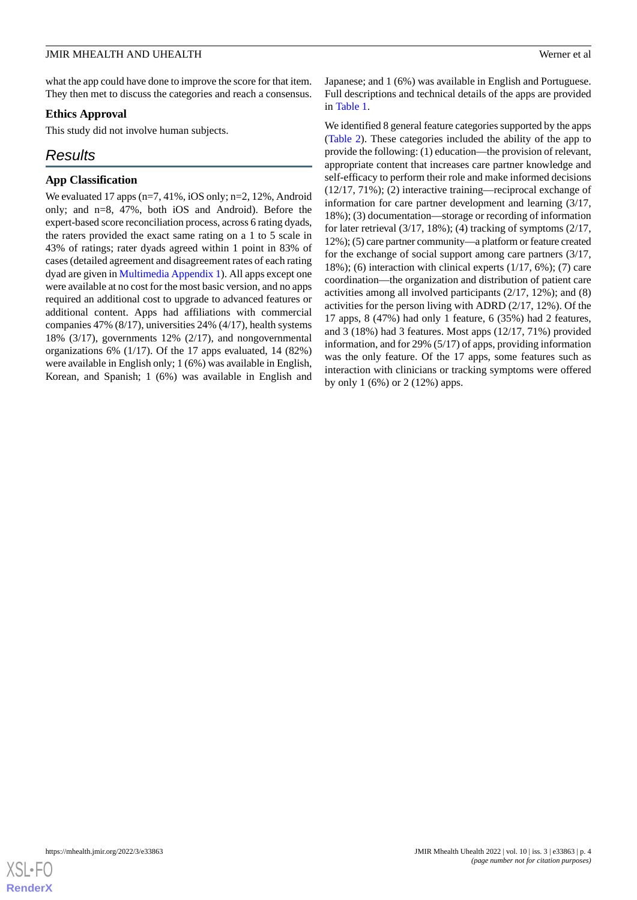what the app could have done to improve the score for that item. They then met to discuss the categories and reach a consensus.

### **Ethics Approval**

This study did not involve human subjects.

# *Results*

#### **App Classification**

We evaluated 17 apps (n=7, 41%, iOS only; n=2, 12%, Android only; and n=8, 47%, both iOS and Android). Before the expert-based score reconciliation process, across 6 rating dyads, the raters provided the exact same rating on a 1 to 5 scale in 43% of ratings; rater dyads agreed within 1 point in 83% of cases (detailed agreement and disagreement rates of each rating dyad are given in [Multimedia Appendix 1](#page-10-13)). All apps except one were available at no cost for the most basic version, and no apps required an additional cost to upgrade to advanced features or additional content. Apps had affiliations with commercial companies 47% (8/17), universities 24% (4/17), health systems 18% (3/17), governments 12% (2/17), and nongovernmental organizations 6% (1/17). Of the 17 apps evaluated, 14 (82%) were available in English only; 1 (6%) was available in English, Korean, and Spanish; 1 (6%) was available in English and

Japanese; and 1 (6%) was available in English and Portuguese. Full descriptions and technical details of the apps are provided in [Table 1](#page-4-0).

We identified 8 general feature categories supported by the apps ([Table 2](#page-5-0)). These categories included the ability of the app to provide the following: (1) education—the provision of relevant, appropriate content that increases care partner knowledge and self-efficacy to perform their role and make informed decisions (12/17, 71%); (2) interactive training—reciprocal exchange of information for care partner development and learning (3/17, 18%); (3) documentation—storage or recording of information for later retrieval  $(3/17, 18\%)$ ; (4) tracking of symptoms  $(2/17, 18\%)$ 12%); (5) care partner community—a platform or feature created for the exchange of social support among care partners (3/17, 18%); (6) interaction with clinical experts (1/17, 6%); (7) care coordination—the organization and distribution of patient care activities among all involved participants (2/17, 12%); and (8) activities for the person living with ADRD (2/17, 12%). Of the 17 apps, 8 (47%) had only 1 feature, 6 (35%) had 2 features, and 3 (18%) had 3 features. Most apps (12/17, 71%) provided information, and for 29% (5/17) of apps, providing information was the only feature. Of the 17 apps, some features such as interaction with clinicians or tracking symptoms were offered by only 1 (6%) or 2 (12%) apps.

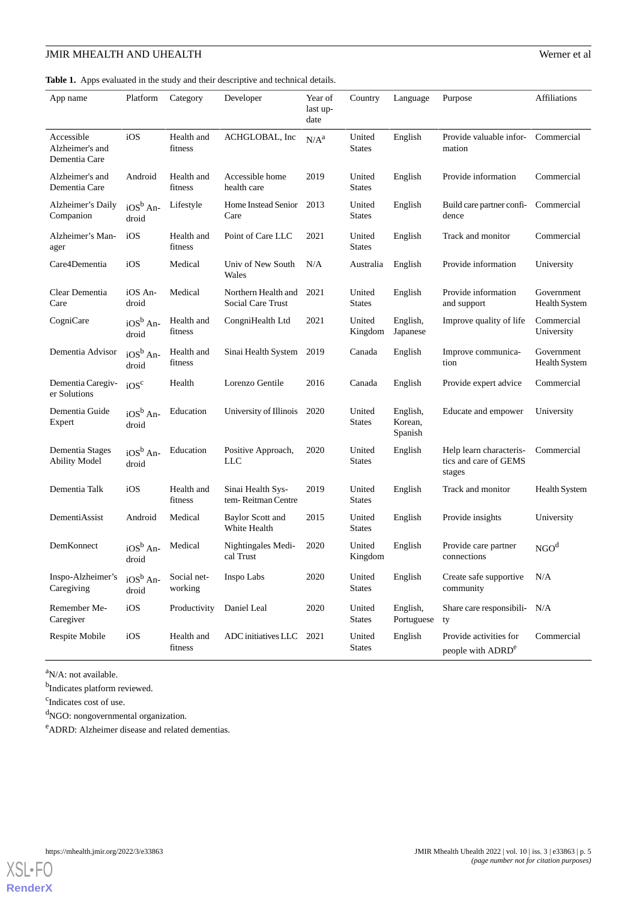<span id="page-4-0"></span>**Table 1.** Apps evaluated in the study and their descriptive and technical details.

| App name                                       | Platform            | Category               | Developer                                | Year of<br>last up-<br>date | Country                 | Language                       | Purpose                                                    | Affiliations                       |
|------------------------------------------------|---------------------|------------------------|------------------------------------------|-----------------------------|-------------------------|--------------------------------|------------------------------------------------------------|------------------------------------|
| Accessible<br>Alzheimer's and<br>Dementia Care | iOS                 | Health and<br>fitness  | ACHGLOBAL, Inc                           | N/A <sup>a</sup>            | United<br>States        | English                        | Provide valuable infor-<br>mation                          | Commercial                         |
| Alzheimer's and<br>Dementia Care               | Android             | Health and<br>fitness  | Accessible home<br>health care           | 2019                        | United<br>States        | English                        | Provide information                                        | Commercial                         |
| Alzheimer's Daily<br>Companion                 | $iOSb$ An-<br>droid | Lifestyle              | Home Instead Senior<br>Care              | 2013                        | United<br>States        | English                        | Build care partner confi-<br>dence                         | Commercial                         |
| Alzheimer's Man-<br>ager                       | iOS                 | Health and<br>fitness  | Point of Care LLC                        | 2021                        | United<br>States        | English                        | Track and monitor                                          | Commercial                         |
| Care4Dementia                                  | iOS                 | Medical                | Univ of New South<br>Wales               | N/A                         | Australia               | English                        | Provide information                                        | University                         |
| Clear Dementia<br>Care                         | iOS An-<br>droid    | Medical                | Northern Health and<br>Social Care Trust | 2021                        | United<br><b>States</b> | English                        | Provide information<br>and support                         | Government<br><b>Health System</b> |
| CogniCare                                      | $iOSb$ An-<br>droid | Health and<br>fitness  | CongniHealth Ltd                         | 2021                        | United<br>Kingdom       | English,<br>Japanese           | Improve quality of life                                    | Commercial<br>University           |
| Dementia Advisor                               | $iOSb$ An-<br>droid | Health and<br>fitness  | Sinai Health System                      | 2019                        | Canada                  | English                        | Improve communica-<br>tion                                 | Government<br>Health System        |
| Dementia Caregiv-<br>er Solutions              | iOS <sup>c</sup>    | Health                 | Lorenzo Gentile                          | 2016                        | Canada                  | English                        | Provide expert advice                                      | Commercial                         |
| Dementia Guide<br>Expert                       | $iOSb$ An-<br>droid | Education              | University of Illinois 2020              |                             | United<br>States        | English,<br>Korean,<br>Spanish | Educate and empower                                        | University                         |
| Dementia Stages<br><b>Ability Model</b>        | $iOSb$ An-<br>droid | Education              | Positive Approach,<br>LLC                | 2020                        | United<br>States        | English                        | Help learn characteris-<br>tics and care of GEMS<br>stages | Commercial                         |
| Dementia Talk                                  | iOS                 | Health and<br>fitness  | Sinai Health Sys-<br>tem-Reitman Centre  | 2019                        | United<br>States        | English                        | Track and monitor                                          | Health System                      |
| DementiAssist                                  | Android             | Medical                | Baylor Scott and<br>White Health         | 2015                        | United<br><b>States</b> | English                        | Provide insights                                           | University                         |
| DemKonnect                                     | $iOSb$ An-<br>droid | Medical                | Nightingales Medi-<br>cal Trust          | 2020                        | United<br>Kingdom       | English                        | Provide care partner<br>connections                        | NGO <sup>d</sup>                   |
| Inspo-Alzheimer's<br>Caregiving                | $iOSb$ An-<br>droid | Social net-<br>working | Inspo Labs                               | 2020                        | United<br><b>States</b> | English                        | Create safe supportive<br>community                        | N/A                                |
| Remember Me-<br>Caregiver                      | iOS                 | Productivity           | Daniel Leal                              | 2020                        | United<br><b>States</b> | English,<br>Portuguese         | Share care responsibili- N/A<br>ty                         |                                    |
| Respite Mobile                                 | iOS                 | Health and<br>fitness  | ADC initiatives LLC                      | 2021                        | United<br><b>States</b> | English                        | Provide activities for<br>people with ADRD <sup>e</sup>    | Commercial                         |

<sup>a</sup>N/A: not available.

<sup>b</sup>Indicates platform reviewed.

<sup>c</sup>Indicates cost of use.

<sup>d</sup>NGO: nongovernmental organization.

<sup>e</sup>ADRD: Alzheimer disease and related dementias.

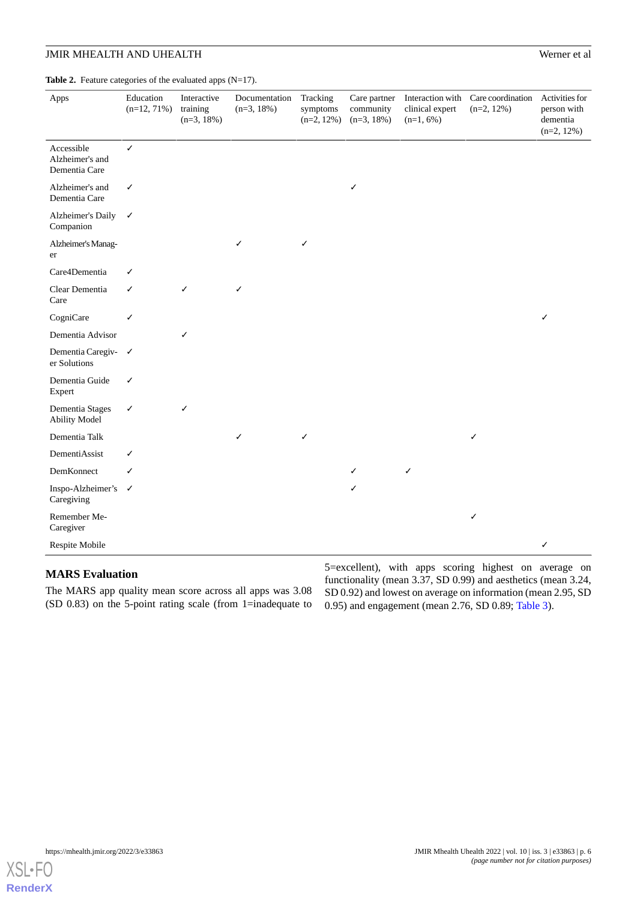<span id="page-5-0"></span>Table 2. Feature categories of the evaluated apps (N=17).

| Apps                                           | Education<br>$(n=12, 71%)$ | Interactive<br>training<br>$(n=3, 18\%)$ | Documentation<br>$(n=3, 18\%)$ | Tracking<br>symptoms<br>$(n=2, 12\%)$ | Care partner<br>community<br>$(n=3, 18\%)$ | Interaction with<br>clinical expert<br>$(n=1, 6\%)$ | Care coordination<br>$(n=2, 12\%)$ | Activities for<br>person with<br>dementia<br>$(n=2, 12\%)$ |
|------------------------------------------------|----------------------------|------------------------------------------|--------------------------------|---------------------------------------|--------------------------------------------|-----------------------------------------------------|------------------------------------|------------------------------------------------------------|
| Accessible<br>Alzheimer's and<br>Dementia Care | $\checkmark$               |                                          |                                |                                       |                                            |                                                     |                                    |                                                            |
| Alzheimer's and<br>Dementia Care               | $\checkmark$               |                                          |                                |                                       | ✓                                          |                                                     |                                    |                                                            |
| Alzheimer's Daily<br>Companion                 | $\checkmark$               |                                          |                                |                                       |                                            |                                                     |                                    |                                                            |
| Alzheimer's Manag-<br>er                       |                            |                                          | ✓                              | ✓                                     |                                            |                                                     |                                    |                                                            |
| Care4Dementia                                  | ✓                          |                                          |                                |                                       |                                            |                                                     |                                    |                                                            |
| Clear Dementia<br>Care                         | $\checkmark$               | ✓                                        | ✓                              |                                       |                                            |                                                     |                                    |                                                            |
| CogniCare                                      | ✓                          |                                          |                                |                                       |                                            |                                                     |                                    | ✓                                                          |
| Dementia Advisor                               |                            | $\checkmark$                             |                                |                                       |                                            |                                                     |                                    |                                                            |
| Dementia Caregiv- √<br>er Solutions            |                            |                                          |                                |                                       |                                            |                                                     |                                    |                                                            |
| Dementia Guide<br>Expert                       | ✓                          |                                          |                                |                                       |                                            |                                                     |                                    |                                                            |
| Dementia Stages<br><b>Ability Model</b>        | $\checkmark$               | ✓                                        |                                |                                       |                                            |                                                     |                                    |                                                            |
| Dementia Talk                                  |                            |                                          | ✓                              | ✓                                     |                                            |                                                     | ✓                                  |                                                            |
| DementiAssist                                  | ✓                          |                                          |                                |                                       |                                            |                                                     |                                    |                                                            |
| DemKonnect                                     | ✓                          |                                          |                                |                                       | ✓                                          | $\checkmark$                                        |                                    |                                                            |
| Inspo-Alzheimer's √<br>Caregiving              |                            |                                          |                                |                                       | ✓                                          |                                                     |                                    |                                                            |
| Remember Me-<br>Caregiver                      |                            |                                          |                                |                                       |                                            |                                                     | ✓                                  |                                                            |
| Respite Mobile                                 |                            |                                          |                                |                                       |                                            |                                                     |                                    | ✓                                                          |

#### **MARS Evaluation**

The MARS app quality mean score across all apps was 3.08 (SD 0.83) on the 5-point rating scale (from 1=inadequate to

5=excellent), with apps scoring highest on average on functionality (mean 3.37, SD 0.99) and aesthetics (mean 3.24, SD 0.92) and lowest on average on information (mean 2.95, SD 0.95) and engagement (mean 2.76, SD 0.89; [Table 3](#page-6-0)).

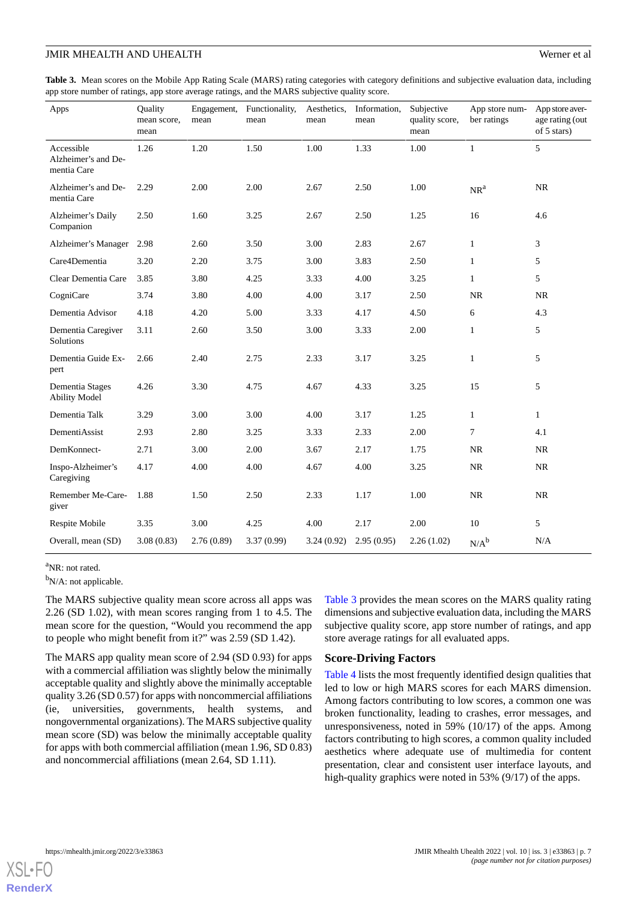<span id="page-6-0"></span>**Table 3.** Mean scores on the Mobile App Rating Scale (MARS) rating categories with category definitions and subjective evaluation data, including app store number of ratings, app store average ratings, and the MARS subjective quality score.

| Apps                                             | Quality<br>mean score,<br>mean | Engagement,<br>mean | Functionality,<br>mean | Aesthetics,<br>mean | Information,<br>mean | Subjective<br>quality score,<br>mean | App store num-<br>ber ratings | App store aver-<br>age rating (out<br>of 5 stars) |
|--------------------------------------------------|--------------------------------|---------------------|------------------------|---------------------|----------------------|--------------------------------------|-------------------------------|---------------------------------------------------|
| Accessible<br>Alzheimer's and De-<br>mentia Care | 1.26                           | 1.20                | 1.50                   | 1.00                | 1.33                 | 1.00                                 | $\mathbf{1}$                  | 5                                                 |
| Alzheimer's and De-<br>mentia Care               | 2.29                           | 2.00                | 2.00                   | 2.67                | 2.50                 | 1.00                                 | NR <sup>a</sup>               | <b>NR</b>                                         |
| Alzheimer's Daily<br>Companion                   | 2.50                           | 1.60                | 3.25                   | 2.67                | 2.50                 | 1.25                                 | 16                            | 4.6                                               |
| Alzheimer's Manager                              | 2.98                           | 2.60                | 3.50                   | 3.00                | 2.83                 | 2.67                                 | $\mathbf{1}$                  | 3                                                 |
| Care4Dementia                                    | 3.20                           | 2.20                | 3.75                   | 3.00                | 3.83                 | 2.50                                 | $\mathbf{1}$                  | 5                                                 |
| Clear Dementia Care                              | 3.85                           | 3.80                | 4.25                   | 3.33                | 4.00                 | 3.25                                 | $\mathbf{1}$                  | 5                                                 |
| CogniCare                                        | 3.74                           | 3.80                | 4.00                   | 4.00                | 3.17                 | 2.50                                 | <b>NR</b>                     | <b>NR</b>                                         |
| Dementia Advisor                                 | 4.18                           | 4.20                | 5.00                   | 3.33                | 4.17                 | 4.50                                 | 6                             | 4.3                                               |
| Dementia Caregiver<br>Solutions                  | 3.11                           | 2.60                | 3.50                   | 3.00                | 3.33                 | 2.00                                 | $\mathbf{1}$                  | 5                                                 |
| Dementia Guide Ex-<br>pert                       | 2.66                           | 2.40                | 2.75                   | 2.33                | 3.17                 | 3.25                                 | $\mathbf{1}$                  | 5                                                 |
| Dementia Stages<br><b>Ability Model</b>          | 4.26                           | 3.30                | 4.75                   | 4.67                | 4.33                 | 3.25                                 | 15                            | 5                                                 |
| Dementia Talk                                    | 3.29                           | 3.00                | 3.00                   | 4.00                | 3.17                 | 1.25                                 | $\mathbf{1}$                  | $\mathbf{1}$                                      |
| DementiAssist                                    | 2.93                           | 2.80                | 3.25                   | 3.33                | 2.33                 | 2.00                                 | $\overline{7}$                | 4.1                                               |
| DemKonnect-                                      | 2.71                           | 3.00                | 2.00                   | 3.67                | 2.17                 | 1.75                                 | <b>NR</b>                     | NR                                                |
| Inspo-Alzheimer's<br>Caregiving                  | 4.17                           | 4.00                | 4.00                   | 4.67                | 4.00                 | 3.25                                 | <b>NR</b>                     | NR                                                |
| Remember Me-Care-<br>giver                       | 1.88                           | 1.50                | 2.50                   | 2.33                | 1.17                 | 1.00                                 | <b>NR</b>                     | NR                                                |
| Respite Mobile                                   | 3.35                           | 3.00                | 4.25                   | 4.00                | 2.17                 | 2.00                                 | 10                            | 5                                                 |
| Overall, mean (SD)                               | 3.08(0.83)                     | 2.76(0.89)          | 3.37(0.99)             | 3.24(0.92)          | 2.95(0.95)           | 2.26(1.02)                           | $N/A^b$                       | N/A                                               |

<sup>a</sup>NR: not rated.

<sup>b</sup>N/A: not applicable.

The MARS subjective quality mean score across all apps was 2.26 (SD 1.02), with mean scores ranging from 1 to 4.5. The mean score for the question, "Would you recommend the app to people who might benefit from it?" was 2.59 (SD 1.42).

The MARS app quality mean score of 2.94 (SD 0.93) for apps with a commercial affiliation was slightly below the minimally acceptable quality and slightly above the minimally acceptable quality 3.26 (SD 0.57) for apps with noncommercial affiliations (ie, universities, governments, health systems, and nongovernmental organizations). The MARS subjective quality mean score (SD) was below the minimally acceptable quality for apps with both commercial affiliation (mean 1.96, SD 0.83) and noncommercial affiliations (mean 2.64, SD 1.11).

[Table 3](#page-6-0) provides the mean scores on the MARS quality rating dimensions and subjective evaluation data, including the MARS subjective quality score, app store number of ratings, and app store average ratings for all evaluated apps.

#### **Score-Driving Factors**

[Table 4](#page-7-0) lists the most frequently identified design qualities that led to low or high MARS scores for each MARS dimension. Among factors contributing to low scores, a common one was broken functionality, leading to crashes, error messages, and unresponsiveness, noted in 59% (10/17) of the apps. Among factors contributing to high scores, a common quality included aesthetics where adequate use of multimedia for content presentation, clear and consistent user interface layouts, and high-quality graphics were noted in 53% (9/17) of the apps.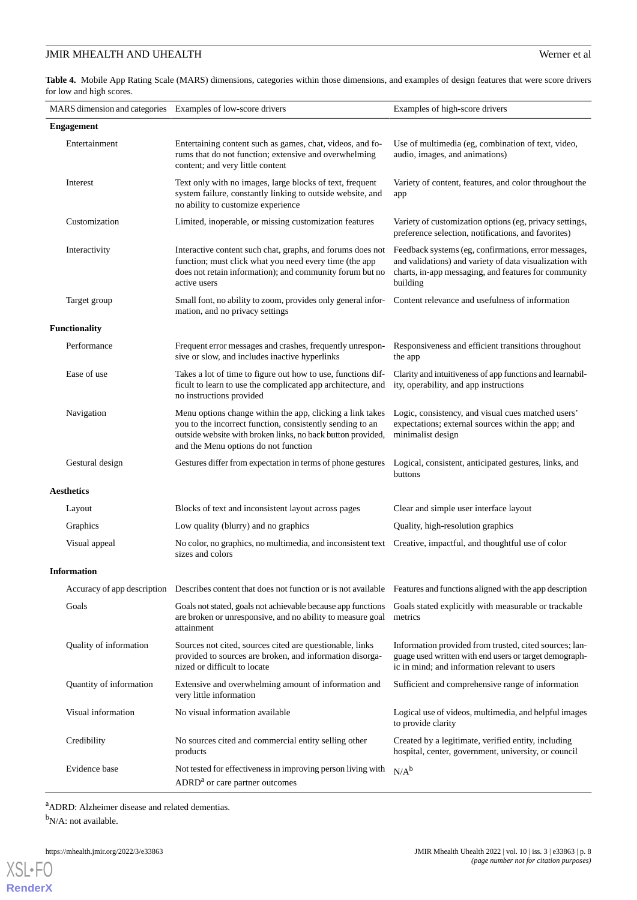<span id="page-7-0"></span>**Table 4.** Mobile App Rating Scale (MARS) dimensions, categories within those dimensions, and examples of design features that were score drivers for low and high scores.

| MARS dimension and categories Examples of low-score drivers |                                                                                                                                                                                                                               | Examples of high-score drivers                                                                                                                                                      |  |  |  |
|-------------------------------------------------------------|-------------------------------------------------------------------------------------------------------------------------------------------------------------------------------------------------------------------------------|-------------------------------------------------------------------------------------------------------------------------------------------------------------------------------------|--|--|--|
| <b>Engagement</b>                                           |                                                                                                                                                                                                                               |                                                                                                                                                                                     |  |  |  |
| Entertainment                                               | Entertaining content such as games, chat, videos, and fo-<br>rums that do not function; extensive and overwhelming<br>content; and very little content                                                                        | Use of multimedia (eg, combination of text, video,<br>audio, images, and animations)                                                                                                |  |  |  |
| Interest                                                    | Text only with no images, large blocks of text, frequent<br>system failure, constantly linking to outside website, and<br>no ability to customize experience                                                                  | Variety of content, features, and color throughout the<br>app                                                                                                                       |  |  |  |
| Customization                                               | Limited, inoperable, or missing customization features                                                                                                                                                                        | Variety of customization options (eg, privacy settings,<br>preference selection, notifications, and favorites)                                                                      |  |  |  |
| Interactivity                                               | Interactive content such chat, graphs, and forums does not<br>function; must click what you need every time (the app<br>does not retain information); and community forum but no<br>active users                              | Feedback systems (eg, confirmations, error messages,<br>and validations) and variety of data visualization with<br>charts, in-app messaging, and features for community<br>building |  |  |  |
| Target group                                                | Small font, no ability to zoom, provides only general infor-<br>Content relevance and usefulness of information<br>mation, and no privacy settings                                                                            |                                                                                                                                                                                     |  |  |  |
| <b>Functionality</b>                                        |                                                                                                                                                                                                                               |                                                                                                                                                                                     |  |  |  |
| Performance                                                 | Frequent error messages and crashes, frequently unrespon- Responsiveness and efficient transitions throughout<br>sive or slow, and includes inactive hyperlinks                                                               | the app                                                                                                                                                                             |  |  |  |
| Ease of use                                                 | Takes a lot of time to figure out how to use, functions dif-<br>ficult to learn to use the complicated app architecture, and<br>no instructions provided                                                                      | Clarity and intuitiveness of app functions and learnabil-<br>ity, operability, and app instructions                                                                                 |  |  |  |
| Navigation                                                  | Menu options change within the app, clicking a link takes<br>you to the incorrect function, consistently sending to an<br>outside website with broken links, no back button provided,<br>and the Menu options do not function | Logic, consistency, and visual cues matched users'<br>expectations; external sources within the app; and<br>minimalist design                                                       |  |  |  |
| Gestural design                                             | Gestures differ from expectation in terms of phone gestures                                                                                                                                                                   | Logical, consistent, anticipated gestures, links, and<br>buttons                                                                                                                    |  |  |  |
| <b>Aesthetics</b>                                           |                                                                                                                                                                                                                               |                                                                                                                                                                                     |  |  |  |
| Layout                                                      | Blocks of text and inconsistent layout across pages                                                                                                                                                                           | Clear and simple user interface layout                                                                                                                                              |  |  |  |
| Graphics                                                    | Low quality (blurry) and no graphics                                                                                                                                                                                          | Quality, high-resolution graphics                                                                                                                                                   |  |  |  |
| Visual appeal                                               | No color, no graphics, no multimedia, and inconsistent text Creative, impactful, and thoughtful use of color<br>sizes and colors                                                                                              |                                                                                                                                                                                     |  |  |  |
| <b>Information</b>                                          |                                                                                                                                                                                                                               |                                                                                                                                                                                     |  |  |  |
|                                                             | Accuracy of app description Describes content that does not function or is not available Features and functions aligned with the app description                                                                              |                                                                                                                                                                                     |  |  |  |
| Goals                                                       | Goals not stated, goals not achievable because app functions<br>are broken or unresponsive, and no ability to measure goal<br>attainment                                                                                      | Goals stated explicitly with measurable or trackable<br>metrics                                                                                                                     |  |  |  |
| Quality of information                                      | Sources not cited, sources cited are questionable, links<br>provided to sources are broken, and information disorga-<br>nized or difficult to locate                                                                          | Information provided from trusted, cited sources; lan-<br>guage used written with end users or target demograph-<br>ic in mind; and information relevant to users                   |  |  |  |
| Quantity of information                                     | Extensive and overwhelming amount of information and<br>very little information                                                                                                                                               | Sufficient and comprehensive range of information                                                                                                                                   |  |  |  |
| Visual information                                          | No visual information available                                                                                                                                                                                               | Logical use of videos, multimedia, and helpful images<br>to provide clarity                                                                                                         |  |  |  |
| Credibility                                                 | No sources cited and commercial entity selling other<br>products                                                                                                                                                              | Created by a legitimate, verified entity, including<br>hospital, center, government, university, or council                                                                         |  |  |  |
| Evidence base                                               | Not tested for effectiveness in improving person living with<br>ADRD <sup>a</sup> or care partner outcomes                                                                                                                    | $N/A^b$                                                                                                                                                                             |  |  |  |

<sup>a</sup>ADRD: Alzheimer disease and related dementias.  $bN/A$ : not available.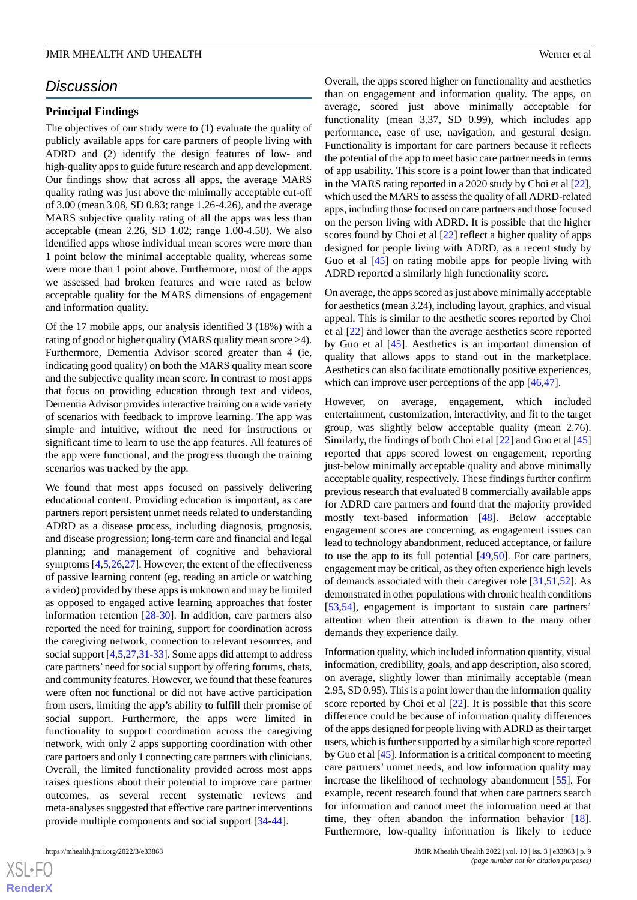# *Discussion*

#### **Principal Findings**

The objectives of our study were to (1) evaluate the quality of publicly available apps for care partners of people living with ADRD and (2) identify the design features of low- and high-quality apps to guide future research and app development. Our findings show that across all apps, the average MARS quality rating was just above the minimally acceptable cut-off of 3.00 (mean 3.08, SD 0.83; range 1.26-4.26), and the average MARS subjective quality rating of all the apps was less than acceptable (mean 2.26, SD 1.02; range 1.00-4.50). We also identified apps whose individual mean scores were more than 1 point below the minimal acceptable quality, whereas some were more than 1 point above. Furthermore, most of the apps we assessed had broken features and were rated as below acceptable quality for the MARS dimensions of engagement and information quality.

Of the 17 mobile apps, our analysis identified 3 (18%) with a rating of good or higher quality (MARS quality mean score >4). Furthermore, Dementia Advisor scored greater than 4 (ie, indicating good quality) on both the MARS quality mean score and the subjective quality mean score. In contrast to most apps that focus on providing education through text and videos, Dementia Advisor provides interactive training on a wide variety of scenarios with feedback to improve learning. The app was simple and intuitive, without the need for instructions or significant time to learn to use the app features. All features of the app were functional, and the progress through the training scenarios was tracked by the app.

We found that most apps focused on passively delivering educational content. Providing education is important, as care partners report persistent unmet needs related to understanding ADRD as a disease process, including diagnosis, prognosis, and disease progression; long-term care and financial and legal planning; and management of cognitive and behavioral symptoms [\[4](#page-10-2),[5,](#page-10-14)[26](#page-11-6),[27\]](#page-11-7). However, the extent of the effectiveness of passive learning content (eg, reading an article or watching a video) provided by these apps is unknown and may be limited as opposed to engaged active learning approaches that foster information retention [[28](#page-11-8)[-30](#page-11-9)]. In addition, care partners also reported the need for training, support for coordination across the caregiving network, connection to relevant resources, and social support [[4,](#page-10-2)[5](#page-10-14),[27,](#page-11-7)[31](#page-11-10)[-33](#page-11-11)]. Some apps did attempt to address care partners' need for social support by offering forums, chats, and community features. However, we found that these features were often not functional or did not have active participation from users, limiting the app's ability to fulfill their promise of social support. Furthermore, the apps were limited in functionality to support coordination across the caregiving network, with only 2 apps supporting coordination with other care partners and only 1 connecting care partners with clinicians. Overall, the limited functionality provided across most apps raises questions about their potential to improve care partner outcomes, as several recent systematic reviews and meta-analyses suggested that effective care partner interventions provide multiple components and social support [[34-](#page-11-12)[44](#page-12-0)].

Overall, the apps scored higher on functionality and aesthetics than on engagement and information quality. The apps, on average, scored just above minimally acceptable for functionality (mean 3.37, SD 0.99), which includes app performance, ease of use, navigation, and gestural design. Functionality is important for care partners because it reflects the potential of the app to meet basic care partner needs in terms of app usability. This score is a point lower than that indicated in the MARS rating reported in a 2020 study by Choi et al [[22\]](#page-11-2), which used the MARS to assess the quality of all ADRD-related apps, including those focused on care partners and those focused on the person living with ADRD. It is possible that the higher scores found by Choi et al [\[22](#page-11-2)] reflect a higher quality of apps designed for people living with ADRD, as a recent study by Guo et al [\[45](#page-12-1)] on rating mobile apps for people living with ADRD reported a similarly high functionality score.

On average, the apps scored as just above minimally acceptable for aesthetics (mean 3.24), including layout, graphics, and visual appeal. This is similar to the aesthetic scores reported by Choi et al [[22\]](#page-11-2) and lower than the average aesthetics score reported by Guo et al [\[45](#page-12-1)]. Aesthetics is an important dimension of quality that allows apps to stand out in the marketplace. Aesthetics can also facilitate emotionally positive experiences, which can improve user perceptions of the app  $[46,47]$  $[46,47]$  $[46,47]$ .

However, on average, engagement, which included entertainment, customization, interactivity, and fit to the target group, was slightly below acceptable quality (mean 2.76). Similarly, the findings of both Choi et al [[22\]](#page-11-2) and Guo et al [\[45](#page-12-1)] reported that apps scored lowest on engagement, reporting just-below minimally acceptable quality and above minimally acceptable quality, respectively. These findings further confirm previous research that evaluated 8 commercially available apps for ADRD care partners and found that the majority provided mostly text-based information [\[48](#page-12-4)]. Below acceptable engagement scores are concerning, as engagement issues can lead to technology abandonment, reduced acceptance, or failure to use the app to its full potential  $[49,50]$  $[49,50]$  $[49,50]$  $[49,50]$ . For care partners, engagement may be critical, as they often experience high levels of demands associated with their caregiver role [\[31](#page-11-10),[51,](#page-12-7)[52](#page-12-8)]. As demonstrated in other populations with chronic health conditions [[53,](#page-12-9)[54\]](#page-12-10), engagement is important to sustain care partners' attention when their attention is drawn to the many other demands they experience daily.

Information quality, which included information quantity, visual information, credibility, goals, and app description, also scored, on average, slightly lower than minimally acceptable (mean 2.95, SD 0.95). This is a point lower than the information quality score reported by Choi et al [\[22](#page-11-2)]. It is possible that this score difference could be because of information quality differences of the apps designed for people living with ADRD as their target users, which is further supported by a similar high score reported by Guo et al [[45\]](#page-12-1). Information is a critical component to meeting care partners' unmet needs, and low information quality may increase the likelihood of technology abandonment [[55\]](#page-12-11). For example, recent research found that when care partners search for information and cannot meet the information need at that time, they often abandon the information behavior [[18\]](#page-11-0). Furthermore, low-quality information is likely to reduce

 $XS$ -FO **[RenderX](http://www.renderx.com/)**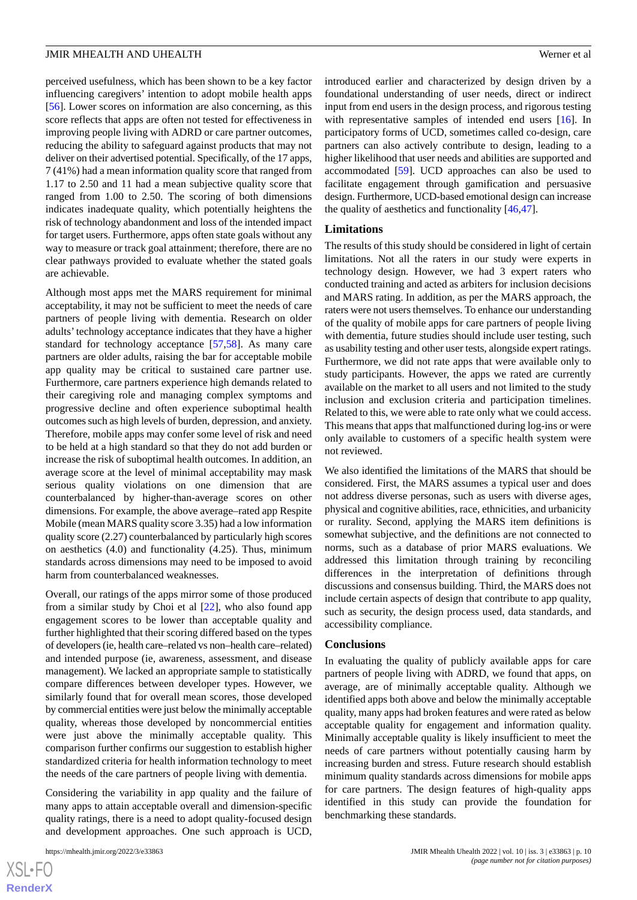perceived usefulness, which has been shown to be a key factor influencing caregivers' intention to adopt mobile health apps [[56\]](#page-12-12). Lower scores on information are also concerning, as this score reflects that apps are often not tested for effectiveness in improving people living with ADRD or care partner outcomes, reducing the ability to safeguard against products that may not deliver on their advertised potential. Specifically, of the 17 apps, 7 (41%) had a mean information quality score that ranged from 1.17 to 2.50 and 11 had a mean subjective quality score that ranged from 1.00 to 2.50. The scoring of both dimensions indicates inadequate quality, which potentially heightens the risk of technology abandonment and loss of the intended impact for target users. Furthermore, apps often state goals without any way to measure or track goal attainment; therefore, there are no clear pathways provided to evaluate whether the stated goals are achievable.

Although most apps met the MARS requirement for minimal acceptability, it may not be sufficient to meet the needs of care partners of people living with dementia. Research on older adults'technology acceptance indicates that they have a higher standard for technology acceptance [[57,](#page-12-13)[58\]](#page-12-14). As many care partners are older adults, raising the bar for acceptable mobile app quality may be critical to sustained care partner use. Furthermore, care partners experience high demands related to their caregiving role and managing complex symptoms and progressive decline and often experience suboptimal health outcomes such as high levels of burden, depression, and anxiety. Therefore, mobile apps may confer some level of risk and need to be held at a high standard so that they do not add burden or increase the risk of suboptimal health outcomes. In addition, an average score at the level of minimal acceptability may mask serious quality violations on one dimension that are counterbalanced by higher-than-average scores on other dimensions. For example, the above average–rated app Respite Mobile (mean MARS quality score 3.35) had a low information quality score (2.27) counterbalanced by particularly high scores on aesthetics (4.0) and functionality (4.25). Thus, minimum standards across dimensions may need to be imposed to avoid harm from counterbalanced weaknesses.

Overall, our ratings of the apps mirror some of those produced from a similar study by Choi et al [[22\]](#page-11-2), who also found app engagement scores to be lower than acceptable quality and further highlighted that their scoring differed based on the types of developers (ie, health care–related vs non–health care–related) and intended purpose (ie, awareness, assessment, and disease management). We lacked an appropriate sample to statistically compare differences between developer types. However, we similarly found that for overall mean scores, those developed by commercial entities were just below the minimally acceptable quality, whereas those developed by noncommercial entities were just above the minimally acceptable quality. This comparison further confirms our suggestion to establish higher standardized criteria for health information technology to meet the needs of the care partners of people living with dementia.

Considering the variability in app quality and the failure of many apps to attain acceptable overall and dimension-specific quality ratings, there is a need to adopt quality-focused design and development approaches. One such approach is UCD,

introduced earlier and characterized by design driven by a foundational understanding of user needs, direct or indirect input from end users in the design process, and rigorous testing with representative samples of intended end users [[16\]](#page-10-11). In participatory forms of UCD, sometimes called co-design, care partners can also actively contribute to design, leading to a higher likelihood that user needs and abilities are supported and accommodated [\[59](#page-12-15)]. UCD approaches can also be used to facilitate engagement through gamification and persuasive design. Furthermore, UCD-based emotional design can increase the quality of aesthetics and functionality [[46,](#page-12-2)[47](#page-12-3)].

#### **Limitations**

The results of this study should be considered in light of certain limitations. Not all the raters in our study were experts in technology design. However, we had 3 expert raters who conducted training and acted as arbiters for inclusion decisions and MARS rating. In addition, as per the MARS approach, the raters were not users themselves. To enhance our understanding of the quality of mobile apps for care partners of people living with dementia, future studies should include user testing, such as usability testing and other user tests, alongside expert ratings. Furthermore, we did not rate apps that were available only to study participants. However, the apps we rated are currently available on the market to all users and not limited to the study inclusion and exclusion criteria and participation timelines. Related to this, we were able to rate only what we could access. This means that apps that malfunctioned during log-ins or were only available to customers of a specific health system were not reviewed.

We also identified the limitations of the MARS that should be considered. First, the MARS assumes a typical user and does not address diverse personas, such as users with diverse ages, physical and cognitive abilities, race, ethnicities, and urbanicity or rurality. Second, applying the MARS item definitions is somewhat subjective, and the definitions are not connected to norms, such as a database of prior MARS evaluations. We addressed this limitation through training by reconciling differences in the interpretation of definitions through discussions and consensus building. Third, the MARS does not include certain aspects of design that contribute to app quality, such as security, the design process used, data standards, and accessibility compliance.

#### **Conclusions**

In evaluating the quality of publicly available apps for care partners of people living with ADRD, we found that apps, on average, are of minimally acceptable quality. Although we identified apps both above and below the minimally acceptable quality, many apps had broken features and were rated as below acceptable quality for engagement and information quality. Minimally acceptable quality is likely insufficient to meet the needs of care partners without potentially causing harm by increasing burden and stress. Future research should establish minimum quality standards across dimensions for mobile apps for care partners. The design features of high-quality apps identified in this study can provide the foundation for benchmarking these standards.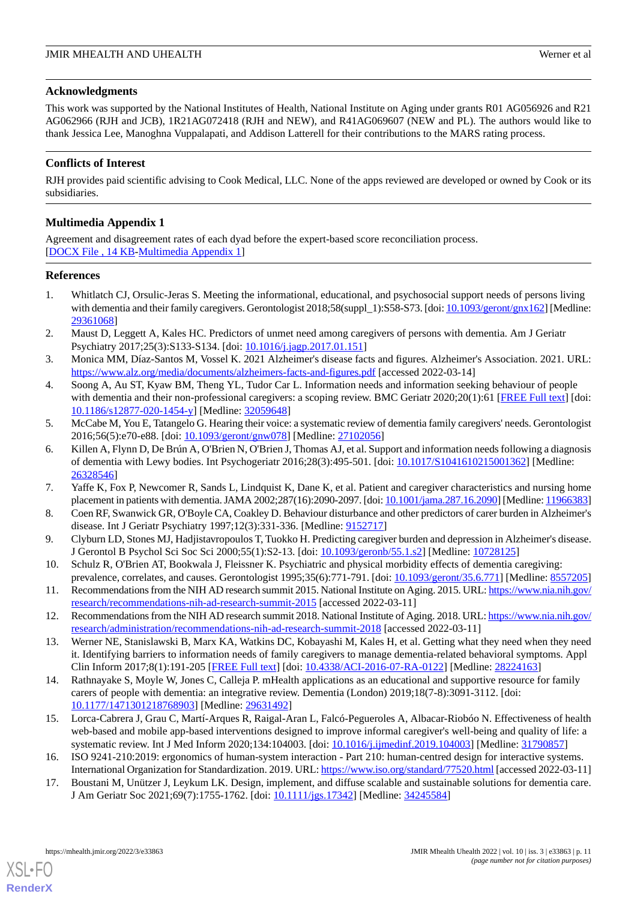# **Acknowledgments**

This work was supported by the National Institutes of Health, National Institute on Aging under grants R01 AG056926 and R21 AG062966 (RJH and JCB), 1R21AG072418 (RJH and NEW), and R41AG069607 (NEW and PL). The authors would like to thank Jessica Lee, Manoghna Vuppalapati, and Addison Latterell for their contributions to the MARS rating process.

# **Conflicts of Interest**

<span id="page-10-13"></span>RJH provides paid scientific advising to Cook Medical, LLC. None of the apps reviewed are developed or owned by Cook or its subsidiaries.

# **Multimedia Appendix 1**

Agreement and disagreement rates of each dyad before the expert-based score reconciliation process. [[DOCX File , 14 KB](https://jmir.org/api/download?alt_name=mhealth_v10i3e33863_app1.docx&filename=48118f1565a5d860e32d503f590420fd.docx)-[Multimedia Appendix 1\]](https://jmir.org/api/download?alt_name=mhealth_v10i3e33863_app1.docx&filename=48118f1565a5d860e32d503f590420fd.docx)

#### <span id="page-10-0"></span>**References**

- 1. Whitlatch CJ, Orsulic-Jeras S. Meeting the informational, educational, and psychosocial support needs of persons living with dementia and their family caregivers. Gerontologist 2018;58(suppl\_1):S58-S73. [doi: [10.1093/geront/gnx162\]](http://dx.doi.org/10.1093/geront/gnx162) [Medline: [29361068](http://www.ncbi.nlm.nih.gov/entrez/query.fcgi?cmd=Retrieve&db=PubMed&list_uids=29361068&dopt=Abstract)]
- <span id="page-10-1"></span>2. Maust D, Leggett A, Kales HC. Predictors of unmet need among caregivers of persons with dementia. Am J Geriatr Psychiatry 2017;25(3):S133-S134. [doi: [10.1016/j.jagp.2017.01.151\]](http://dx.doi.org/10.1016/j.jagp.2017.01.151)
- <span id="page-10-2"></span>3. Monica MM, Díaz-Santos M, Vossel K. 2021 Alzheimer's disease facts and figures. Alzheimer's Association. 2021. URL: <https://www.alz.org/media/documents/alzheimers-facts-and-figures.pdf> [accessed 2022-03-14]
- <span id="page-10-14"></span>4. Soong A, Au ST, Kyaw BM, Theng YL, Tudor Car L. Information needs and information seeking behaviour of people with dementia and their non-professional caregivers: a scoping review. BMC Geriatr 2020;20(1):61 [[FREE Full text](https://bmcgeriatr.biomedcentral.com/articles/10.1186/s12877-020-1454-y)] [doi: [10.1186/s12877-020-1454-y\]](http://dx.doi.org/10.1186/s12877-020-1454-y) [Medline: [32059648](http://www.ncbi.nlm.nih.gov/entrez/query.fcgi?cmd=Retrieve&db=PubMed&list_uids=32059648&dopt=Abstract)]
- <span id="page-10-3"></span>5. McCabe M, You E, Tatangelo G. Hearing their voice: a systematic review of dementia family caregivers' needs. Gerontologist 2016;56(5):e70-e88. [doi: [10.1093/geront/gnw078](http://dx.doi.org/10.1093/geront/gnw078)] [Medline: [27102056\]](http://www.ncbi.nlm.nih.gov/entrez/query.fcgi?cmd=Retrieve&db=PubMed&list_uids=27102056&dopt=Abstract)
- <span id="page-10-4"></span>6. Killen A, Flynn D, De Brún A, O'Brien N, O'Brien J, Thomas AJ, et al. Support and information needs following a diagnosis of dementia with Lewy bodies. Int Psychogeriatr 2016;28(3):495-501. [doi: [10.1017/S1041610215001362\]](http://dx.doi.org/10.1017/S1041610215001362) [Medline: [26328546](http://www.ncbi.nlm.nih.gov/entrez/query.fcgi?cmd=Retrieve&db=PubMed&list_uids=26328546&dopt=Abstract)]
- 7. Yaffe K, Fox P, Newcomer R, Sands L, Lindquist K, Dane K, et al. Patient and caregiver characteristics and nursing home placement in patients with dementia. JAMA 2002;287(16):2090-2097. [doi: [10.1001/jama.287.16.2090\]](http://dx.doi.org/10.1001/jama.287.16.2090) [Medline: [11966383\]](http://www.ncbi.nlm.nih.gov/entrez/query.fcgi?cmd=Retrieve&db=PubMed&list_uids=11966383&dopt=Abstract)
- <span id="page-10-5"></span>8. Coen RF, Swanwick GR, O'Boyle CA, Coakley D. Behaviour disturbance and other predictors of carer burden in Alzheimer's disease. Int J Geriatr Psychiatry 1997;12(3):331-336. [Medline: [9152717](http://www.ncbi.nlm.nih.gov/entrez/query.fcgi?cmd=Retrieve&db=PubMed&list_uids=9152717&dopt=Abstract)]
- <span id="page-10-6"></span>9. Clyburn LD, Stones MJ, Hadjistavropoulos T, Tuokko H. Predicting caregiver burden and depression in Alzheimer's disease. J Gerontol B Psychol Sci Soc Sci 2000;55(1):S2-13. [doi: [10.1093/geronb/55.1.s2\]](http://dx.doi.org/10.1093/geronb/55.1.s2) [Medline: [10728125](http://www.ncbi.nlm.nih.gov/entrez/query.fcgi?cmd=Retrieve&db=PubMed&list_uids=10728125&dopt=Abstract)]
- <span id="page-10-7"></span>10. Schulz R, O'Brien AT, Bookwala J, Fleissner K. Psychiatric and physical morbidity effects of dementia caregiving: prevalence, correlates, and causes. Gerontologist 1995;35(6):771-791. [doi: [10.1093/geront/35.6.771](http://dx.doi.org/10.1093/geront/35.6.771)] [Medline: [8557205](http://www.ncbi.nlm.nih.gov/entrez/query.fcgi?cmd=Retrieve&db=PubMed&list_uids=8557205&dopt=Abstract)]
- <span id="page-10-8"></span>11. Recommendations from the NIH AD research summit 2015. National Institute on Aging. 2015. URL: [https://www.nia.nih.gov/](https://www.nia.nih.gov/research/recommendations-nih-ad-research-summit-2015) [research/recommendations-nih-ad-research-summit-2015](https://www.nia.nih.gov/research/recommendations-nih-ad-research-summit-2015) [accessed 2022-03-11]
- <span id="page-10-9"></span>12. Recommendations from the NIH AD research summit 2018. National Institute of Aging. 2018. URL: [https://www.nia.nih.gov/](https://www.nia.nih.gov/research/administration/recommendations-nih-ad-research-summit-2018) [research/administration/recommendations-nih-ad-research-summit-2018](https://www.nia.nih.gov/research/administration/recommendations-nih-ad-research-summit-2018) [accessed 2022-03-11]
- <span id="page-10-10"></span>13. Werner NE, Stanislawski B, Marx KA, Watkins DC, Kobayashi M, Kales H, et al. Getting what they need when they need it. Identifying barriers to information needs of family caregivers to manage dementia-related behavioral symptoms. Appl Clin Inform 2017;8(1):191-205 [[FREE Full text](http://europepmc.org/abstract/MED/28224163)] [doi: [10.4338/ACI-2016-07-RA-0122\]](http://dx.doi.org/10.4338/ACI-2016-07-RA-0122) [Medline: [28224163\]](http://www.ncbi.nlm.nih.gov/entrez/query.fcgi?cmd=Retrieve&db=PubMed&list_uids=28224163&dopt=Abstract)
- <span id="page-10-11"></span>14. Rathnayake S, Moyle W, Jones C, Calleja P. mHealth applications as an educational and supportive resource for family carers of people with dementia: an integrative review. Dementia (London) 2019;18(7-8):3091-3112. [doi: [10.1177/1471301218768903\]](http://dx.doi.org/10.1177/1471301218768903) [Medline: [29631492\]](http://www.ncbi.nlm.nih.gov/entrez/query.fcgi?cmd=Retrieve&db=PubMed&list_uids=29631492&dopt=Abstract)
- <span id="page-10-12"></span>15. Lorca-Cabrera J, Grau C, Martí-Arques R, Raigal-Aran L, Falcó-Pegueroles A, Albacar-Riobóo N. Effectiveness of health web-based and mobile app-based interventions designed to improve informal caregiver's well-being and quality of life: a systematic review. Int J Med Inform 2020;134:104003. [doi: [10.1016/j.ijmedinf.2019.104003\]](http://dx.doi.org/10.1016/j.ijmedinf.2019.104003) [Medline: [31790857\]](http://www.ncbi.nlm.nih.gov/entrez/query.fcgi?cmd=Retrieve&db=PubMed&list_uids=31790857&dopt=Abstract)
- 16. ISO 9241-210:2019: ergonomics of human-system interaction Part 210: human-centred design for interactive systems. International Organization for Standardization. 2019. URL:<https://www.iso.org/standard/77520.html> [accessed 2022-03-11]
- 17. Boustani M, Unützer J, Leykum LK. Design, implement, and diffuse scalable and sustainable solutions for dementia care. J Am Geriatr Soc 2021;69(7):1755-1762. [doi: [10.1111/jgs.17342](http://dx.doi.org/10.1111/jgs.17342)] [Medline: [34245584\]](http://www.ncbi.nlm.nih.gov/entrez/query.fcgi?cmd=Retrieve&db=PubMed&list_uids=34245584&dopt=Abstract)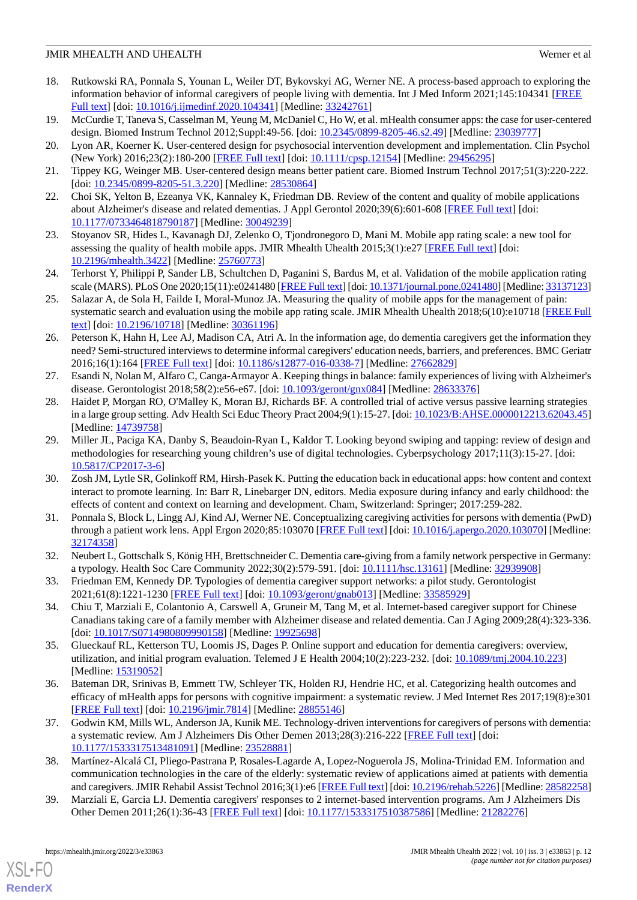- <span id="page-11-0"></span>18. Rutkowski RA, Ponnala S, Younan L, Weiler DT, Bykovskyi AG, Werner NE. A process-based approach to exploring the information behavior of informal caregivers of people living with dementia. Int J Med Inform 2021;145:104341 [\[FREE](http://europepmc.org/abstract/MED/33242761) [Full text\]](http://europepmc.org/abstract/MED/33242761) [doi: [10.1016/j.ijmedinf.2020.104341\]](http://dx.doi.org/10.1016/j.ijmedinf.2020.104341) [Medline: [33242761](http://www.ncbi.nlm.nih.gov/entrez/query.fcgi?cmd=Retrieve&db=PubMed&list_uids=33242761&dopt=Abstract)]
- 19. McCurdie T, Taneva S, Casselman M, Yeung M, McDaniel C, Ho W, et al. mHealth consumer apps: the case for user-centered design. Biomed Instrum Technol 2012;Suppl:49-56. [doi: [10.2345/0899-8205-46.s2.49](http://dx.doi.org/10.2345/0899-8205-46.s2.49)] [Medline: [23039777](http://www.ncbi.nlm.nih.gov/entrez/query.fcgi?cmd=Retrieve&db=PubMed&list_uids=23039777&dopt=Abstract)]
- <span id="page-11-1"></span>20. Lyon AR, Koerner K. User-centered design for psychosocial intervention development and implementation. Clin Psychol (New York) 2016;23(2):180-200 [[FREE Full text](http://europepmc.org/abstract/MED/29456295)] [doi: [10.1111/cpsp.12154](http://dx.doi.org/10.1111/cpsp.12154)] [Medline: [29456295](http://www.ncbi.nlm.nih.gov/entrez/query.fcgi?cmd=Retrieve&db=PubMed&list_uids=29456295&dopt=Abstract)]
- <span id="page-11-2"></span>21. Tippey KG, Weinger MB. User-centered design means better patient care. Biomed Instrum Technol 2017;51(3):220-222. [doi: [10.2345/0899-8205-51.3.220\]](http://dx.doi.org/10.2345/0899-8205-51.3.220) [Medline: [28530864\]](http://www.ncbi.nlm.nih.gov/entrez/query.fcgi?cmd=Retrieve&db=PubMed&list_uids=28530864&dopt=Abstract)
- <span id="page-11-3"></span>22. Choi SK, Yelton B, Ezeanya VK, Kannaley K, Friedman DB. Review of the content and quality of mobile applications about Alzheimer's disease and related dementias. J Appl Gerontol 2020;39(6):601-608 [\[FREE Full text\]](http://europepmc.org/abstract/MED/30049239) [doi: [10.1177/0733464818790187\]](http://dx.doi.org/10.1177/0733464818790187) [Medline: [30049239\]](http://www.ncbi.nlm.nih.gov/entrez/query.fcgi?cmd=Retrieve&db=PubMed&list_uids=30049239&dopt=Abstract)
- <span id="page-11-4"></span>23. Stoyanov SR, Hides L, Kavanagh DJ, Zelenko O, Tjondronegoro D, Mani M. Mobile app rating scale: a new tool for assessing the quality of health mobile apps. JMIR Mhealth Uhealth 2015;3(1):e27 [\[FREE Full text\]](https://mhealth.jmir.org/2015/1/e27/) [doi: [10.2196/mhealth.3422](http://dx.doi.org/10.2196/mhealth.3422)] [Medline: [25760773](http://www.ncbi.nlm.nih.gov/entrez/query.fcgi?cmd=Retrieve&db=PubMed&list_uids=25760773&dopt=Abstract)]
- <span id="page-11-5"></span>24. Terhorst Y, Philippi P, Sander LB, Schultchen D, Paganini S, Bardus M, et al. Validation of the mobile application rating scale (MARS). PLoS One 2020;15(11):e0241480 [\[FREE Full text](https://dx.plos.org/10.1371/journal.pone.0241480)] [doi: [10.1371/journal.pone.0241480](http://dx.doi.org/10.1371/journal.pone.0241480)] [Medline: [33137123\]](http://www.ncbi.nlm.nih.gov/entrez/query.fcgi?cmd=Retrieve&db=PubMed&list_uids=33137123&dopt=Abstract)
- <span id="page-11-6"></span>25. Salazar A, de Sola H, Failde I, Moral-Munoz JA. Measuring the quality of mobile apps for the management of pain: systematic search and evaluation using the mobile app rating scale. JMIR Mhealth Uhealth 2018;6(10):e10718 [\[FREE Full](https://mhealth.jmir.org/2018/10/e10718/) [text](https://mhealth.jmir.org/2018/10/e10718/)] [doi: [10.2196/10718\]](http://dx.doi.org/10.2196/10718) [Medline: [30361196\]](http://www.ncbi.nlm.nih.gov/entrez/query.fcgi?cmd=Retrieve&db=PubMed&list_uids=30361196&dopt=Abstract)
- <span id="page-11-7"></span>26. Peterson K, Hahn H, Lee AJ, Madison CA, Atri A. In the information age, do dementia caregivers get the information they need? Semi-structured interviews to determine informal caregivers' education needs, barriers, and preferences. BMC Geriatr 2016;16(1):164 [[FREE Full text\]](https://bmcgeriatr.biomedcentral.com/articles/10.1186/s12877-016-0338-7) [doi: [10.1186/s12877-016-0338-7](http://dx.doi.org/10.1186/s12877-016-0338-7)] [Medline: [27662829](http://www.ncbi.nlm.nih.gov/entrez/query.fcgi?cmd=Retrieve&db=PubMed&list_uids=27662829&dopt=Abstract)]
- <span id="page-11-8"></span>27. Esandi N, Nolan M, Alfaro C, Canga-Armayor A. Keeping things in balance: family experiences of living with Alzheimer's disease. Gerontologist 2018;58(2):e56-e67. [doi: [10.1093/geront/gnx084](http://dx.doi.org/10.1093/geront/gnx084)] [Medline: [28633376](http://www.ncbi.nlm.nih.gov/entrez/query.fcgi?cmd=Retrieve&db=PubMed&list_uids=28633376&dopt=Abstract)]
- 28. Haidet P, Morgan RO, O'Malley K, Moran BJ, Richards BF. A controlled trial of active versus passive learning strategies in a large group setting. Adv Health Sci Educ Theory Pract 2004;9(1):15-27. [doi: [10.1023/B:AHSE.0000012213.62043.45\]](http://dx.doi.org/10.1023/B:AHSE.0000012213.62043.45) [Medline: [14739758](http://www.ncbi.nlm.nih.gov/entrez/query.fcgi?cmd=Retrieve&db=PubMed&list_uids=14739758&dopt=Abstract)]
- <span id="page-11-9"></span>29. Miller JL, Paciga KA, Danby S, Beaudoin-Ryan L, Kaldor T. Looking beyond swiping and tapping: review of design and methodologies for researching young children's use of digital technologies. Cyberpsychology 2017;11(3):15-27. [doi: [10.5817/CP2017-3-6\]](http://dx.doi.org/10.5817/CP2017-3-6)
- <span id="page-11-10"></span>30. Zosh JM, Lytle SR, Golinkoff RM, Hirsh-Pasek K. Putting the education back in educational apps: how content and context interact to promote learning. In: Barr R, Linebarger DN, editors. Media exposure during infancy and early childhood: the effects of content and context on learning and development. Cham, Switzerland: Springer; 2017:259-282.
- <span id="page-11-11"></span>31. Ponnala S, Block L, Lingg AJ, Kind AJ, Werner NE. Conceptualizing caregiving activities for persons with dementia (PwD) through a patient work lens. Appl Ergon 2020;85:103070 [[FREE Full text\]](http://europepmc.org/abstract/MED/32174358) [doi: [10.1016/j.apergo.2020.103070\]](http://dx.doi.org/10.1016/j.apergo.2020.103070) [Medline: [32174358](http://www.ncbi.nlm.nih.gov/entrez/query.fcgi?cmd=Retrieve&db=PubMed&list_uids=32174358&dopt=Abstract)]
- <span id="page-11-12"></span>32. Neubert L, Gottschalk S, König HH, Brettschneider C. Dementia care-giving from a family network perspective in Germany: a typology. Health Soc Care Community 2022;30(2):579-591. [doi: [10.1111/hsc.13161\]](http://dx.doi.org/10.1111/hsc.13161) [Medline: [32939908](http://www.ncbi.nlm.nih.gov/entrez/query.fcgi?cmd=Retrieve&db=PubMed&list_uids=32939908&dopt=Abstract)]
- 33. Friedman EM, Kennedy DP. Typologies of dementia caregiver support networks: a pilot study. Gerontologist 2021;61(8):1221-1230 [[FREE Full text](http://europepmc.org/abstract/MED/33585929)] [doi: [10.1093/geront/gnab013\]](http://dx.doi.org/10.1093/geront/gnab013) [Medline: [33585929](http://www.ncbi.nlm.nih.gov/entrez/query.fcgi?cmd=Retrieve&db=PubMed&list_uids=33585929&dopt=Abstract)]
- 34. Chiu T, Marziali E, Colantonio A, Carswell A, Gruneir M, Tang M, et al. Internet-based caregiver support for Chinese Canadians taking care of a family member with Alzheimer disease and related dementia. Can J Aging 2009;28(4):323-336. [doi: [10.1017/S0714980809990158\]](http://dx.doi.org/10.1017/S0714980809990158) [Medline: [19925698](http://www.ncbi.nlm.nih.gov/entrez/query.fcgi?cmd=Retrieve&db=PubMed&list_uids=19925698&dopt=Abstract)]
- 35. Glueckauf RL, Ketterson TU, Loomis JS, Dages P. Online support and education for dementia caregivers: overview, utilization, and initial program evaluation. Telemed J E Health 2004;10(2):223-232. [doi: [10.1089/tmj.2004.10.223](http://dx.doi.org/10.1089/tmj.2004.10.223)] [Medline: [15319052](http://www.ncbi.nlm.nih.gov/entrez/query.fcgi?cmd=Retrieve&db=PubMed&list_uids=15319052&dopt=Abstract)]
- 36. Bateman DR, Srinivas B, Emmett TW, Schleyer TK, Holden RJ, Hendrie HC, et al. Categorizing health outcomes and efficacy of mHealth apps for persons with cognitive impairment: a systematic review. J Med Internet Res 2017;19(8):e301 [[FREE Full text](https://www.jmir.org/2017/8/e301/)] [doi: [10.2196/jmir.7814](http://dx.doi.org/10.2196/jmir.7814)] [Medline: [28855146](http://www.ncbi.nlm.nih.gov/entrez/query.fcgi?cmd=Retrieve&db=PubMed&list_uids=28855146&dopt=Abstract)]
- 37. Godwin KM, Mills WL, Anderson JA, Kunik ME. Technology-driven interventions for caregivers of persons with dementia: a systematic review. Am J Alzheimers Dis Other Demen 2013;28(3):216-222 [\[FREE Full text\]](https://journals.sagepub.com/doi/10.1177/1533317513481091?url_ver=Z39.88-2003&rfr_id=ori:rid:crossref.org&rfr_dat=cr_pub%3dpubmed) [doi: [10.1177/1533317513481091\]](http://dx.doi.org/10.1177/1533317513481091) [Medline: [23528881\]](http://www.ncbi.nlm.nih.gov/entrez/query.fcgi?cmd=Retrieve&db=PubMed&list_uids=23528881&dopt=Abstract)
- 38. Martínez-Alcalá CI, Pliego-Pastrana P, Rosales-Lagarde A, Lopez-Noguerola JS, Molina-Trinidad EM. Information and communication technologies in the care of the elderly: systematic review of applications aimed at patients with dementia and caregivers. JMIR Rehabil Assist Technol 2016;3(1):e6 [\[FREE Full text](https://rehab.jmir.org/2016/1/e6/)] [doi: [10.2196/rehab.5226\]](http://dx.doi.org/10.2196/rehab.5226) [Medline: [28582258\]](http://www.ncbi.nlm.nih.gov/entrez/query.fcgi?cmd=Retrieve&db=PubMed&list_uids=28582258&dopt=Abstract)
- 39. Marziali E, Garcia LJ. Dementia caregivers' responses to 2 internet-based intervention programs. Am J Alzheimers Dis Other Demen 2011;26(1):36-43 [[FREE Full text\]](https://journals.sagepub.com/doi/10.1177/1533317510387586?url_ver=Z39.88-2003&rfr_id=ori:rid:crossref.org&rfr_dat=cr_pub%3dpubmed) [doi: [10.1177/1533317510387586](http://dx.doi.org/10.1177/1533317510387586)] [Medline: [21282276](http://www.ncbi.nlm.nih.gov/entrez/query.fcgi?cmd=Retrieve&db=PubMed&list_uids=21282276&dopt=Abstract)]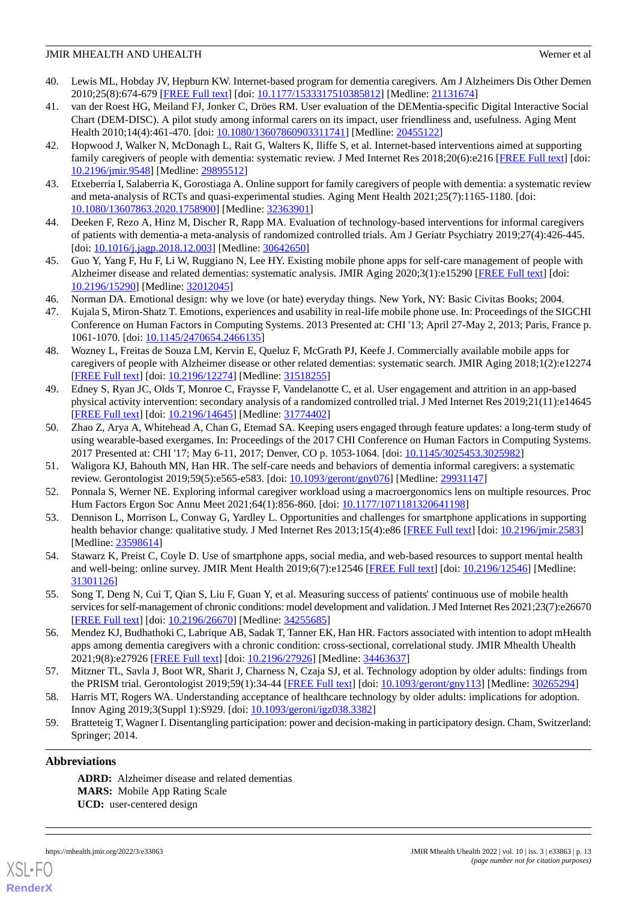- 40. Lewis ML, Hobday JV, Hepburn KW. Internet-based program for dementia caregivers. Am J Alzheimers Dis Other Demen 2010;25(8):674-679 [[FREE Full text](https://journals.sagepub.com/doi/10.1177/1533317510385812?url_ver=Z39.88-2003&rfr_id=ori:rid:crossref.org&rfr_dat=cr_pub%3dpubmed)] [doi: [10.1177/1533317510385812\]](http://dx.doi.org/10.1177/1533317510385812) [Medline: [21131674\]](http://www.ncbi.nlm.nih.gov/entrez/query.fcgi?cmd=Retrieve&db=PubMed&list_uids=21131674&dopt=Abstract)
- 41. van der Roest HG, Meiland FJ, Jonker C, Dröes RM. User evaluation of the DEMentia-specific Digital Interactive Social Chart (DEM-DISC). A pilot study among informal carers on its impact, user friendliness and, usefulness. Aging Ment Health 2010;14(4):461-470. [doi: [10.1080/13607860903311741\]](http://dx.doi.org/10.1080/13607860903311741) [Medline: [20455122\]](http://www.ncbi.nlm.nih.gov/entrez/query.fcgi?cmd=Retrieve&db=PubMed&list_uids=20455122&dopt=Abstract)
- 42. Hopwood J, Walker N, McDonagh L, Rait G, Walters K, Iliffe S, et al. Internet-based interventions aimed at supporting family caregivers of people with dementia: systematic review. J Med Internet Res 2018;20(6):e216 [[FREE Full text](https://www.jmir.org/2018/6/e216/)] [doi: [10.2196/jmir.9548](http://dx.doi.org/10.2196/jmir.9548)] [Medline: [29895512](http://www.ncbi.nlm.nih.gov/entrez/query.fcgi?cmd=Retrieve&db=PubMed&list_uids=29895512&dopt=Abstract)]
- <span id="page-12-0"></span>43. Etxeberria I, Salaberria K, Gorostiaga A. Online support for family caregivers of people with dementia: a systematic review and meta-analysis of RCTs and quasi-experimental studies. Aging Ment Health 2021;25(7):1165-1180. [doi: [10.1080/13607863.2020.1758900\]](http://dx.doi.org/10.1080/13607863.2020.1758900) [Medline: [32363901\]](http://www.ncbi.nlm.nih.gov/entrez/query.fcgi?cmd=Retrieve&db=PubMed&list_uids=32363901&dopt=Abstract)
- <span id="page-12-1"></span>44. Deeken F, Rezo A, Hinz M, Discher R, Rapp MA. Evaluation of technology-based interventions for informal caregivers of patients with dementia-a meta-analysis of randomized controlled trials. Am J Geriatr Psychiatry 2019;27(4):426-445. [doi: [10.1016/j.jagp.2018.12.003](http://dx.doi.org/10.1016/j.jagp.2018.12.003)] [Medline: [30642650\]](http://www.ncbi.nlm.nih.gov/entrez/query.fcgi?cmd=Retrieve&db=PubMed&list_uids=30642650&dopt=Abstract)
- <span id="page-12-2"></span>45. Guo Y, Yang F, Hu F, Li W, Ruggiano N, Lee HY. Existing mobile phone apps for self-care management of people with Alzheimer disease and related dementias: systematic analysis. JMIR Aging 2020;3(1):e15290 [\[FREE Full text\]](https://aging.jmir.org/2020/1/e15290/) [doi: [10.2196/15290\]](http://dx.doi.org/10.2196/15290) [Medline: [32012045\]](http://www.ncbi.nlm.nih.gov/entrez/query.fcgi?cmd=Retrieve&db=PubMed&list_uids=32012045&dopt=Abstract)
- <span id="page-12-3"></span>46. Norman DA. Emotional design: why we love (or hate) everyday things. New York, NY: Basic Civitas Books; 2004.
- <span id="page-12-4"></span>47. Kujala S, Miron-Shatz T. Emotions, experiences and usability in real-life mobile phone use. In: Proceedings of the SIGCHI Conference on Human Factors in Computing Systems. 2013 Presented at: CHI '13; April 27-May 2, 2013; Paris, France p. 1061-1070. [doi: [10.1145/2470654.2466135](http://dx.doi.org/10.1145/2470654.2466135)]
- <span id="page-12-5"></span>48. Wozney L, Freitas de Souza LM, Kervin E, Queluz F, McGrath PJ, Keefe J. Commercially available mobile apps for caregivers of people with Alzheimer disease or other related dementias: systematic search. JMIR Aging 2018;1(2):e12274 [[FREE Full text](https://aging.jmir.org/2018/2/e12274/)] [doi: [10.2196/12274\]](http://dx.doi.org/10.2196/12274) [Medline: [31518255\]](http://www.ncbi.nlm.nih.gov/entrez/query.fcgi?cmd=Retrieve&db=PubMed&list_uids=31518255&dopt=Abstract)
- <span id="page-12-6"></span>49. Edney S, Ryan JC, Olds T, Monroe C, Fraysse F, Vandelanotte C, et al. User engagement and attrition in an app-based physical activity intervention: secondary analysis of a randomized controlled trial. J Med Internet Res 2019;21(11):e14645 [[FREE Full text](https://www.jmir.org/2019/11/e14645/)] [doi: [10.2196/14645\]](http://dx.doi.org/10.2196/14645) [Medline: [31774402\]](http://www.ncbi.nlm.nih.gov/entrez/query.fcgi?cmd=Retrieve&db=PubMed&list_uids=31774402&dopt=Abstract)
- <span id="page-12-8"></span><span id="page-12-7"></span>50. Zhao Z, Arya A, Whitehead A, Chan G, Etemad SA. Keeping users engaged through feature updates: a long-term study of using wearable-based exergames. In: Proceedings of the 2017 CHI Conference on Human Factors in Computing Systems. 2017 Presented at: CHI '17; May 6-11, 2017; Denver, CO p. 1053-1064. [doi: [10.1145/3025453.3025982](http://dx.doi.org/10.1145/3025453.3025982)]
- <span id="page-12-9"></span>51. Waligora KJ, Bahouth MN, Han HR. The self-care needs and behaviors of dementia informal caregivers: a systematic review. Gerontologist 2019;59(5):e565-e583. [doi: [10.1093/geront/gny076](http://dx.doi.org/10.1093/geront/gny076)] [Medline: [29931147](http://www.ncbi.nlm.nih.gov/entrez/query.fcgi?cmd=Retrieve&db=PubMed&list_uids=29931147&dopt=Abstract)]
- <span id="page-12-10"></span>52. Ponnala S, Werner NE. Exploring informal caregiver workload using a macroergonomics lens on multiple resources. Proc Hum Factors Ergon Soc Annu Meet 2021;64(1):856-860. [doi: [10.1177/1071181320641198](http://dx.doi.org/10.1177/1071181320641198)]
- <span id="page-12-11"></span>53. Dennison L, Morrison L, Conway G, Yardley L. Opportunities and challenges for smartphone applications in supporting health behavior change: qualitative study. J Med Internet Res 2013;15(4):e86 [\[FREE Full text\]](https://www.jmir.org/2013/4/e86/) [doi: [10.2196/jmir.2583](http://dx.doi.org/10.2196/jmir.2583)] [Medline: [23598614](http://www.ncbi.nlm.nih.gov/entrez/query.fcgi?cmd=Retrieve&db=PubMed&list_uids=23598614&dopt=Abstract)]
- <span id="page-12-12"></span>54. Stawarz K, Preist C, Coyle D. Use of smartphone apps, social media, and web-based resources to support mental health and well-being: online survey. JMIR Ment Health 2019;6(7):e12546 [\[FREE Full text\]](https://mental.jmir.org/2019/7/e12546/) [doi: [10.2196/12546](http://dx.doi.org/10.2196/12546)] [Medline: [31301126](http://www.ncbi.nlm.nih.gov/entrez/query.fcgi?cmd=Retrieve&db=PubMed&list_uids=31301126&dopt=Abstract)]
- <span id="page-12-13"></span>55. Song T, Deng N, Cui T, Qian S, Liu F, Guan Y, et al. Measuring success of patients' continuous use of mobile health services for self-management of chronic conditions: model development and validation. J Med Internet Res 2021;23(7):e26670 [[FREE Full text](https://www.jmir.org/2021/7/e26670/)] [doi: [10.2196/26670\]](http://dx.doi.org/10.2196/26670) [Medline: [34255685\]](http://www.ncbi.nlm.nih.gov/entrez/query.fcgi?cmd=Retrieve&db=PubMed&list_uids=34255685&dopt=Abstract)
- <span id="page-12-15"></span><span id="page-12-14"></span>56. Mendez KJ, Budhathoki C, Labrique AB, Sadak T, Tanner EK, Han HR. Factors associated with intention to adopt mHealth apps among dementia caregivers with a chronic condition: cross-sectional, correlational study. JMIR Mhealth Uhealth 2021;9(8):e27926 [\[FREE Full text](https://mhealth.jmir.org/2021/8/e27926/)] [doi: [10.2196/27926\]](http://dx.doi.org/10.2196/27926) [Medline: [34463637\]](http://www.ncbi.nlm.nih.gov/entrez/query.fcgi?cmd=Retrieve&db=PubMed&list_uids=34463637&dopt=Abstract)
- 57. Mitzner TL, Savla J, Boot WR, Sharit J, Charness N, Czaja SJ, et al. Technology adoption by older adults: findings from the PRISM trial. Gerontologist 2019;59(1):34-44 [[FREE Full text](http://europepmc.org/abstract/MED/30265294)] [doi: [10.1093/geront/gny113\]](http://dx.doi.org/10.1093/geront/gny113) [Medline: [30265294\]](http://www.ncbi.nlm.nih.gov/entrez/query.fcgi?cmd=Retrieve&db=PubMed&list_uids=30265294&dopt=Abstract)
- 58. Harris MT, Rogers WA. Understanding acceptance of healthcare technology by older adults: implications for adoption. Innov Aging 2019;3(Suppl 1):S929. [doi: [10.1093/geroni/igz038.3382](http://dx.doi.org/10.1093/geroni/igz038.3382)]
- 59. Bratteteig T, Wagner I. Disentangling participation: power and decision-making in participatory design. Cham, Switzerland: Springer; 2014.

# **Abbreviations**

**ADRD:** Alzheimer disease and related dementias **MARS:** Mobile App Rating Scale **UCD:** user-centered design